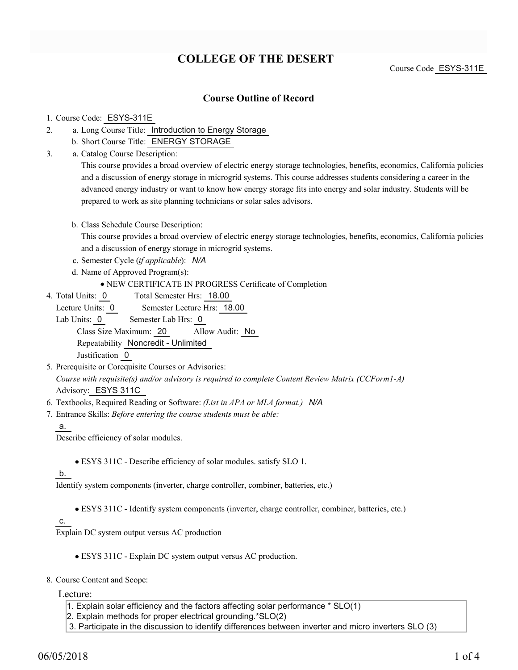# **COLLEGE OF THE DESERT**

Course Code ESYS-311E

### **Course Outline of Record**

#### 1. Course Code: ESYS-311E

- a. Long Course Title: Introduction to Energy Storage 2.
	- b. Short Course Title: ENERGY STORAGE
- Catalog Course Description: a. 3.

This course provides a broad overview of electric energy storage technologies, benefits, economics, California policies and a discussion of energy storage in microgrid systems. This course addresses students considering a career in the advanced energy industry or want to know how energy storage fits into energy and solar industry. Students will be prepared to work as site planning technicians or solar sales advisors.

b. Class Schedule Course Description:

This course provides a broad overview of electric energy storage technologies, benefits, economics, California policies and a discussion of energy storage in microgrid systems.

- c. Semester Cycle (*if applicable*): *N/A*
- d. Name of Approved Program(s):
	- NEW CERTIFICATE IN PROGRESS Certificate of Completion
- Total Semester Hrs: 18.00 4. Total Units: 0

Lecture Units: 0 Semester Lecture Hrs: 18.00

- Lab Units: 0 Semester Lab Hrs: 0 Class Size Maximum: 20 Allow Audit: No Repeatability Noncredit - Unlimited Justification 0
- 5. Prerequisite or Corequisite Courses or Advisories: *Course with requisite(s) and/or advisory is required to complete Content Review Matrix (CCForm1-A)* Advisory: ESYS 311C
- 6. Textbooks, Required Reading or Software: *(List in APA or MLA format.) N/A*
- Entrance Skills: *Before entering the course students must be able:* 7.
	- a.

Describe efficiency of solar modules.

ESYS 311C - Describe efficiency of solar modules. satisfy SLO 1.

### b.

Identify system components (inverter, charge controller, combiner, batteries, etc.)

ESYS 311C - Identify system components (inverter, charge controller, combiner, batteries, etc.)

#### c.

Explain DC system output versus AC production

- ESYS 311C Explain DC system output versus AC production.
- 8. Course Content and Scope:

Lecture:

- 1. Explain solar efficiency and the factors affecting solar performance \* SLO(1)
- 2. Explain methods for proper electrical grounding.\*SLO(2)
- 3. Participate in the discussion to identify differences between inverter and micro inverters SLO (3)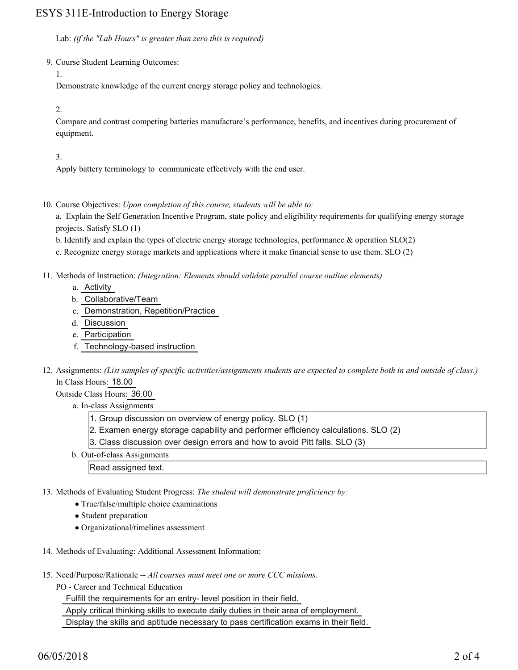## ESYS 311E-Introduction to Energy Storage

Lab: *(if the "Lab Hours" is greater than zero this is required)*

9. Course Student Learning Outcomes:

1.

Demonstrate knowledge of the current energy storage policy and technologies.

2.

Compare and contrast competing batteries manufacture's performance, benefits, and incentives during procurement of equipment.

3.

Apply battery terminology to communicate effectively with the end user.

10. Course Objectives: Upon completion of this course, students will be able to:

a. Explain the Self Generation Incentive Program, state policy and eligibility requirements for qualifying energy storage projects. Satisfy SLO (1)

b. Identify and explain the types of electric energy storage technologies, performance & operation SLO(2)

c. Recognize energy storage markets and applications where it make financial sense to use them. SLO (2)

- Methods of Instruction: *(Integration: Elements should validate parallel course outline elements)* 11.
	- a. Activity
	- b. Collaborative/Team
	- c. Demonstration, Repetition/Practice
	- d. Discussion
	- e. Participation
	- f. Technology-based instruction
- 12. Assignments: (List samples of specific activities/assignments students are expected to complete both in and outside of class.) In Class Hours: 18.00

Outside Class Hours: 36.00

- a. In-class Assignments
	- 1. Group discussion on overview of energy policy. SLO (1)
	- 2. Examen energy storage capability and performer efficiency calculations. SLO (2)
	- 3. Class discussion over design errors and how to avoid Pitt falls. SLO (3)
- b. Out-of-class Assignments

Read assigned text.

- 13. Methods of Evaluating Student Progress: The student will demonstrate proficiency by:
	- True/false/multiple choice examinations
	- Student preparation
	- Organizational/timelines assessment
- 14. Methods of Evaluating: Additional Assessment Information:
- 15. Need/Purpose/Rationale -- All courses must meet one or more CCC missions.
	- PO Career and Technical Education

Fulfill the requirements for an entry- level position in their field.

Apply critical thinking skills to execute daily duties in their area of employment.

Display the skills and aptitude necessary to pass certification exams in their field.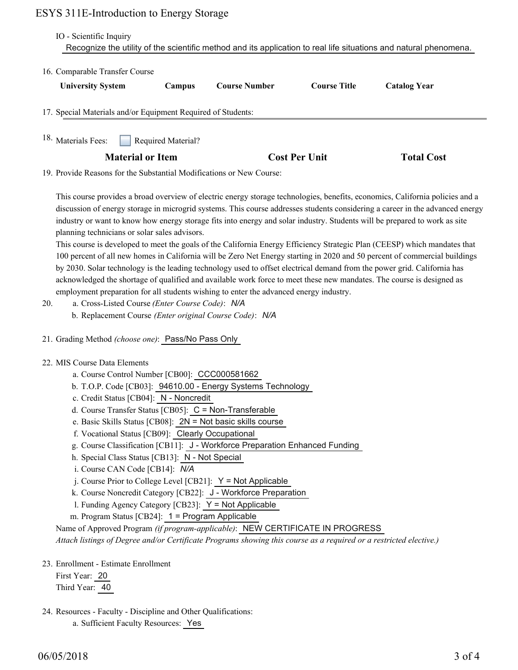### ESYS 311E-Introduction to Energy Storage

| 16. Comparable Transfer Course                               |                         |                                                                      |                      |                     |
|--------------------------------------------------------------|-------------------------|----------------------------------------------------------------------|----------------------|---------------------|
| <b>University System</b>                                     | Campus                  | <b>Course Number</b>                                                 | <b>Course Title</b>  | <b>Catalog Year</b> |
| 17. Special Materials and/or Equipment Required of Students: |                         |                                                                      |                      |                     |
|                                                              |                         |                                                                      |                      |                     |
| <sup>18.</sup> Materials Fees:                               | Required Material?      |                                                                      |                      |                     |
|                                                              | <b>Material or Item</b> |                                                                      | <b>Cost Per Unit</b> | <b>Total Cost</b>   |
|                                                              |                         | 19. Provide Reasons for the Substantial Modifications or New Course: |                      |                     |

industry or want to know how energy storage fits into energy and solar industry. Students will be prepared to work as site planning technicians or solar sales advisors. This course is developed to meet the goals of the California Energy Efficiency Strategic Plan (CEESP) which mandates that

100 percent of all new homes in California will be Zero Net Energy starting in 2020 and 50 percent of commercial buildings by 2030. Solar technology is the leading technology used to offset electrical demand from the power grid. California has acknowledged the shortage of qualified and available work force to meet these new mandates. The course is designed as employment preparation for all students wishing to enter the advanced energy industry.

- a. Cross-Listed Course *(Enter Course Code)*: *N/A* 20.
	- b. Replacement Course *(Enter original Course Code)*: *N/A*
- 21. Grading Method *(choose one)*: Pass/No Pass Only
- 22. MIS Course Data Elements
	- a. Course Control Number [CB00]: CCC000581662
	- b. T.O.P. Code [CB03]: 94610.00 Energy Systems Technology
	- c. Credit Status [CB04]: N Noncredit
	- d. Course Transfer Status [CB05]: C = Non-Transferable
	- e. Basic Skills Status [CB08]: 2N = Not basic skills course
	- f. Vocational Status [CB09]: Clearly Occupational
	- g. Course Classification [CB11]: J Workforce Preparation Enhanced Funding
	- h. Special Class Status [CB13]: N Not Special
	- i. Course CAN Code [CB14]: *N/A*
	- j. Course Prior to College Level [CB21]: Y = Not Applicable
	- k. Course Noncredit Category [CB22]: J Workforce Preparation
	- l. Funding Agency Category [CB23]: Y = Not Applicable
	- m. Program Status [CB24]: 1 = Program Applicable

Name of Approved Program *(if program-applicable)*: NEW CERTIFICATE IN PROGRESS

*Attach listings of Degree and/or Certificate Programs showing this course as a required or a restricted elective.)*

23. Enrollment - Estimate Enrollment

First Year: 20 Third Year: 40

24. Resources - Faculty - Discipline and Other Qualifications: a. Sufficient Faculty Resources: Yes